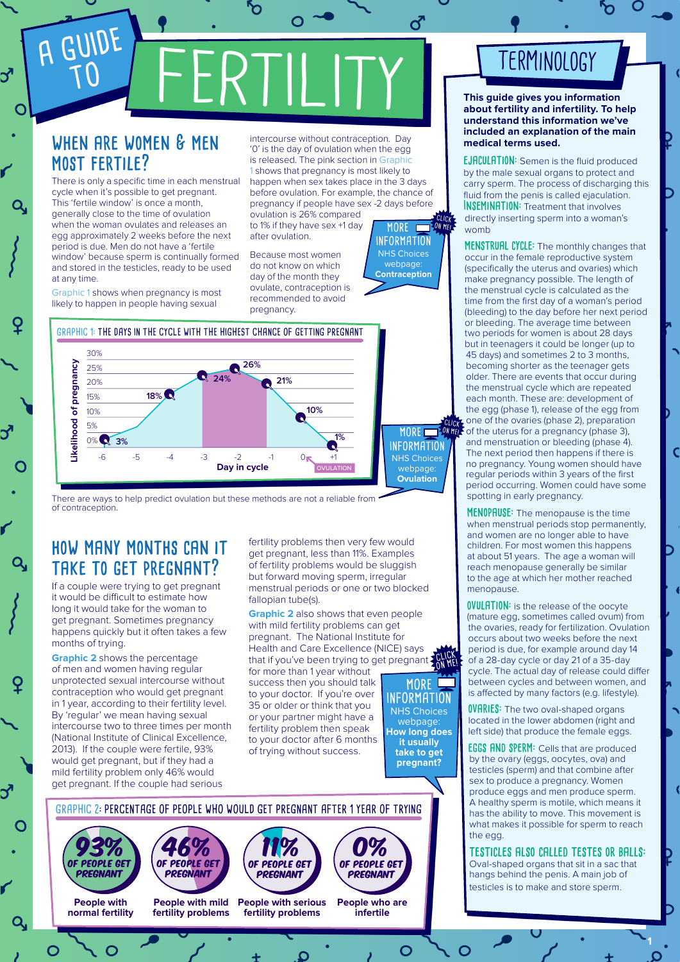# **A GUIDE** -FRTII

## **when are women & men most fertile?**

There is only a specific time in each menstrual cycle when it's possible to get pregnant. This 'fertile window' is once a month, generally close to the time of ovulation when the woman ovulates and releases an egg approximately 2 weeks before the next period is due. Men do not have a 'fertile window' because sperm is continually formed and stored in the testicles, ready to be used at any time.

Graphic 1 shows when pregnancy is most likely to happen in people having sexual

intercourse without contraception. Day '0' is the day of ovulation when the egg is released. The pink section in Graphic 1 shows that pregnancy is most likely to happen when sex takes place in the 3 days before ovulation. For example, the chance of pregnancy if people have sex -2 days before

ovulation is 26% compared to 1% if they have sex +1 day after ovulation.

Because most women do not know on which day of the month they ovulate, contraception is recommended to avoid pregnancy.





There are ways to help predict ovulation but these methods are not a reliable from of contraception.

## **how many months can it take to get pregnant?**

If a couple were trying to get pregnant it would be difficult to estimate how long it would take for the woman to get pregnant. Sometimes pregnancy happens quickly but it often takes a few months of trying.

**Graphic 2** shows the percentage of men and women having regular unprotected sexual intercourse without contraception who would get pregnant in 1 year, according to their fertility level. By 'regular' we mean having sexual intercourse two to three times per month (National Institute of Clinical Excellence, 2013). If the couple were fertile, 93% would get pregnant, but if they had a mild fertility problem only 46% would get pregnant. If the couple had serious

fertility problems then very few would get pregnant, less than 11%. Examples of fertility problems would be sluggish but forward moving sperm, irregular menstrual periods or one or two blocked fallopian tube(s).

**Graphic 2** also shows that even people with mild fertility problems can get pregnant. The National Institute for Health and Care Excellence (NICE) says that if you've been trying to get pregnant **CLICK** 

for more than 1 year without success then you should talk to your doctor. If you're over 35 or older or think that you or your partner might have a fertility problem then speak to your doctor after 6 months of trying without success.



O

#### **GRAPHIC 2: PERCENTAGE OF PEOPLE WHO WOULD GET PREGNANT AFTER 1 YEAR OF TRYING** People with mild People with serious People who are **fertility problems infertile People with normal fertility** 93%\ (46%\ (11% **fertility problems**  $6\%$  (11% ) (0% of people get **PREGNANT** of people get **PREGNANT** of people get **PREGNANT** of people get **PREGNANT**

## terminology

**This guide gives you information about fertility and infertility. To help understand this information we've included an explanation of the main medical terms used.**

**EJACULATION:** Semen is the fluid produced by the male sexual organs to protect and carry sperm. The process of discharging this fluid from the penis is called ejaculation. **INSEMINATION:** Treatment that involves directly inserting sperm into a woman's womb

**MENSTRUAL CYCLE:** The monthly changes that occur in the female reproductive system (specifically the uterus and ovaries) which make pregnancy possible. The length of the menstrual cycle is calculated as the time from the first day of a woman's period (bleeding) to the day before her next period or bleeding. The average time between two periods for women is about 28 days but in teenagers it could be longer (up to 45 days) and sometimes 2 to 3 months, becoming shorter as the teenager gets older. There are events that occur during the menstrual cycle which are repeated each month. These are: development of the egg (phase 1), release of the egg from one of the ovaries (phase 2), preparation **MORE CLICK** one of the ovaries (phase 2), preparationally and **MORE CLICK** one of the uterus for a pregnancy (phase 3), and menstruation or bleeding (phase 4). The next period then happens if there is no pregnancy. Young women should have regular periods within 3 years of the first period occurring. Women could have some spotting in early pregnancy.

> **menopause:** The menopause is the time when menstrual periods stop permanently, and women are no longer able to have children. For most women this happens at about 51 years. The age a woman will reach menopause generally be similar to the age at which her mother reached menopause.

**OVULATION:** is the release of the oocyte (mature egg, sometimes called ovum) from the ovaries, ready for fertilization. Ovulation occurs about two weeks before the next period is due, for example around day 14 of a 28-day cycle or day 21 of a 35-day cycle. The actual day of release could differ between cycles and between women, and is affected by many factors (e.g. lifestyle).

**OVARIES:** The two oval-shaped organs located in the lower abdomen (right and left side) that produce the female eggs.

**eggs and sperm:** Cells that are produced by the ovary (eggs, oocytes, ova) and testicles (sperm) and that combine after sex to produce a pregnancy. Women produce eggs and men produce sperm. A healthy sperm is motile, which means it has the ability to move. This movement is what makes it possible for sperm to reach the egg.

#### **testicles also called testes or balls:**

Oval-shaped organs that sit in a sac that hangs behind the penis. A main job of testicles is to make and store sperm.

**1**

O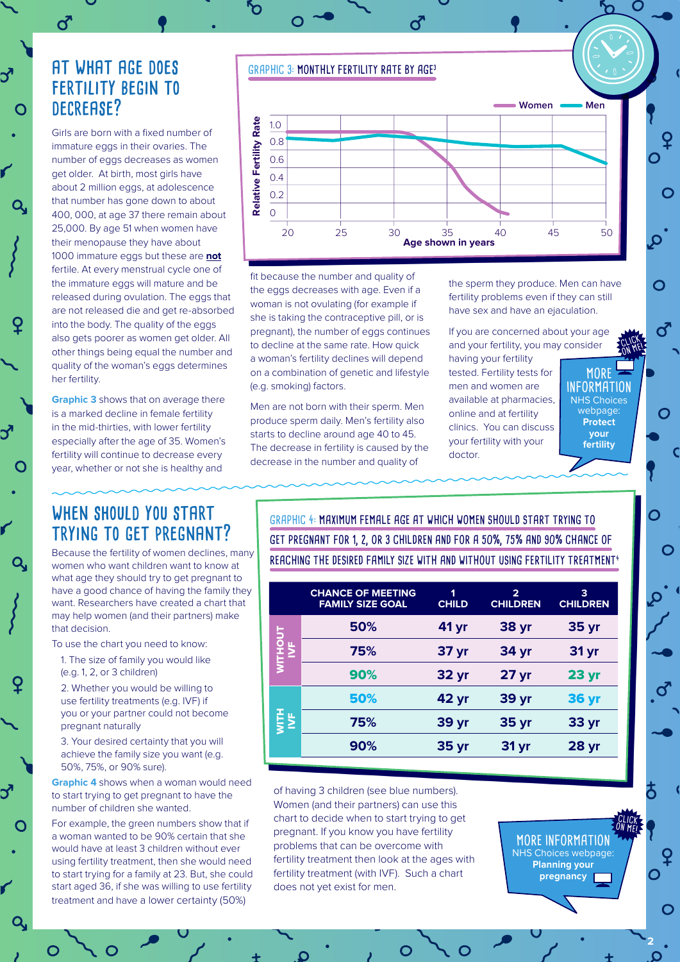## **at what age does fertility begin to decrease?**

൪

Girls are born with a fixed number of immature eggs in their ovaries. The number of eggs decreases as women get older. At birth, most girls have about 2 million eggs, at adolescence that number has gone down to about 400, 000, at age 37 there remain about 25,000. By age 51 when women have their menopause they have about 1000 immature eggs but these are **not** fertile. At every menstrual cycle one of the immature eggs will mature and be released during ovulation. The eggs that are not released die and get re-absorbed into the body. The quality of the eggs also gets poorer as women get older. All other things being equal the number and quality of the woman's eggs determines her fertility.

**Graphic 3** shows that on average there is a marked decline in female fertility in the mid-thirties, with lower fertility especially after the age of 35. Women's fertility will continue to decrease every year, whether or not she is healthy and

#### **GRAPHIC 3: MONTHLY FERTILITY RATE BY AGE3**



fit because the number and quality of the eggs decreases with age. Even if a woman is not ovulating (for example if she is taking the contraceptive pill, or is pregnant), the number of eggs continues to decline at the same rate. How quick a woman's fertility declines will depend on a combination of genetic and lifestyle (e.g. smoking) factors.

Men are not born with their sperm. Men produce sperm daily. Men's fertility also starts to decline around age 40 to 45. The decrease in fertility is caused by the decrease in the number and quality of

the sperm they produce. Men can have fertility problems even if they can still have sex and have an ejaculation.

If you are concerned about your age and your fertility, you may consider having your fertility

tested. Fertility tests for men and women are available at pharmacies, online and at fertility clinics. You can discuss your fertility with your doctor.

**MORE INFORMATION**  NHS Choices webpage: **Protect your fertility**

**CLICK [ON ME!](http://www.nhs.uk/Livewell/Fertility/Pages/Protectyourfertility.aspx)** O

O

൪

 $\bigcap$ 

## **when should you start trying to get pregnant?**

Because the fertility of women declines, many women who want children want to know at what age they should try to get pregnant to have a good chance of having the family they want. Researchers have created a chart that may help women (and their partners) make that decision.

To use the chart you need to know:

1. The size of family you would like (e.g. 1, 2, or 3 children)

2. Whether you would be willing to use fertility treatments (e.g. IVF) if you or your partner could not become pregnant naturally

3. Your desired certainty that you will achieve the family size you want (e.g. 50%, 75%, or 90% sure).

**Graphic 4** shows when a woman would need to start trying to get pregnant to have the number of children she wanted.

For example, the green numbers show that if a woman wanted to be 90% certain that she would have at least 3 children without ever using fertility treatment, then she would need to start trying for a family at 23. But, she could start aged 36, if she was willing to use fertility treatment and have a lower certainty (50%)

O

**GRAPHIC 4: MAXIMUM FEMALE AGE AT WHICH WOMEN SHOULD START TRYING TO GET PREGNANT FOR 1, 2, OR 3 CHILDREN AND FOR A 50%, 75% AND 90% CHANCE OF REACHING THE DESIRED FAMILY SIZE WITH AND WITHOUT USING FERTILITY TREATMENT4**

|                | <b>CHANCE OF MEETING</b><br><b>FAMILY SIZE GOAL</b> | 1<br><b>CHILD</b> | $\overline{2}$<br><b>CHILDREN</b> | 3<br><b>CHILDREN</b> |
|----------------|-----------------------------------------------------|-------------------|-----------------------------------|----------------------|
| WITHOUT<br>IVF | 50%                                                 | 41 yr             | <b>38 yr</b>                      | 35 yr                |
|                | 75%                                                 | 37 yr             | 34 yr                             | <b>31 yr</b>         |
|                | 90%                                                 | 32 yr             | 27 <sub>yr</sub>                  | <b>23 yr</b>         |
| E E            | 50%                                                 | 42 yr             | 39 yr                             | <b>36 yr</b>         |
|                | 75%                                                 | 39 yr             | 35 yr                             | 33 yr                |
|                | 90%                                                 | 35 yr             | <b>31 yr</b>                      | <b>28 yr</b>         |

of having 3 children (see blue numbers). Women (and their partners) can use this chart to decide when to start trying to get pregnant. If you know you have fertility problems that can be overcome with fertility treatment then look at the ages with fertility treatment (with IVF). Such a chart does not yet exist for men.

O

**MORE INFORMATION**  NHS Choices webpage: **Planning your pregnancy CLICK [ON ME!](http://www.nhs.uk/conditions/pregnancy-and-baby/pages/planning-pregnancy.aspx)**

**2**

O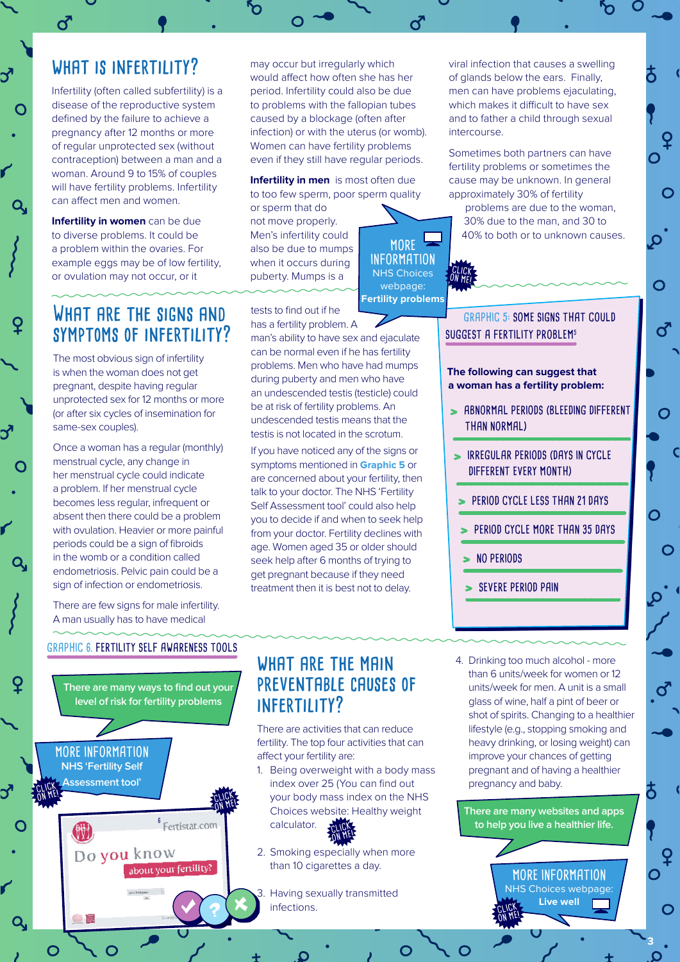## **what is infertility?**

൪

Infertility (often called subfertility) is a disease of the reproductive system defined by the failure to achieve a pregnancy after 12 months or more of regular unprotected sex (without contraception) between a man and a woman. Around 9 to 15% of couples will have fertility problems. Infertility can affect men and women.

**Infertility in women** can be due to diverse problems. It could be a problem within the ovaries. For example eggs may be of low fertility, or ovulation may not occur, or it

**What are the signs and symptoms of infertility?**

The most obvious sign of infertility is when the woman does not get pregnant, despite having regular unprotected sex for 12 months or more (or after six cycles of insemination for

Once a woman has a regular (monthly) menstrual cycle, any change in her menstrual cycle could indicate a problem. If her menstrual cycle becomes less regular, infrequent or absent then there could be a problem with ovulation. Heavier or more painful periods could be a sign of fibroids in the womb or a condition called endometriosis. Pelvic pain could be a sign of infection or endometriosis.

same-sex couples).

may occur but irregularly which would affect how often she has her period. Infertility could also be due to problems with the fallopian tubes caused by a blockage (often after infection) or with the uterus (or womb). Women can have fertility problems even if they still have regular periods.

**Infertility in men** is most often due to too few sperm, poor sperm quality

or sperm that do not move properly. Men's infertility could also be due to mumps when it occurs during puberty. Mumps is a

tests to find out if he

has a fertility problem. A man's ability to have sex and ejaculate NHS Choices webpage: **Fertility problems**

**MORE INFORMATION** 

> **CLICK [ON ME!](http://www.nhs.uk/Conditions/Infertility/Pages/Introduction.aspx)**

can be normal even if he has fertility problems. Men who have had mumps during puberty and men who have an undescended testis (testicle) could be at risk of fertility problems. An undescended testis means that the testis is not located in the scrotum.

If you have noticed any of the signs or symptoms mentioned in **Graphic 5** or are concerned about your fertility, then talk to your doctor. The NHS 'Fertility Self Assessment tool' could also help you to decide if and when to seek help from your doctor. Fertility declines with age. Women aged 35 or older should seek help after 6 months of trying to get pregnant because if they need treatment then it is best not to delay.

viral infection that causes a swelling of glands below the ears. Finally, men can have problems ejaculating, which makes it difficult to have sex and to father a child through sexual intercourse.

Sometimes both partners can have fertility problems or sometimes the cause may be unknown. In general approximately 30% of fertility

problems are due to the woman, 30% due to the man, and 30 to 40% to both or to unknown causes. O

O

O

**GRAPHIC 5: SOME SIGNS THAT COULD SUGGEST A FERTILITY PROBLEM5**

#### **The following can suggest that a woman has a fertility problem:**

- > **ABNORMAL PERIODS (BLEEDING DIFFERENT THAN NORMAL)**
- > **IRREGULAR PERIODS (DAYS IN CYCLE DIFFERENT EVERY MONTH)**
- > **PERIOD CYCLE LESS THAN 21 DAYS**
- > **PERIOD CYCLE MORE THAN 35 DAYS**
- > **NO PERIODS**

> **SEVERE PERIOD PAIN**

## **GRAPHIC 6. FERTILITY SELF AWARENESS TOOLS**

There are few signs for male infertility. A man usually has to have medical

**There are many ways to find out your level of risk for fertility problems**

#### **MORE INFORMATION NHS 'Fertility Self Assessment tool' [CLICK](http://www.nhs.uk/Tools/Pages/Fertility.aspx)  [ON ME!](http://www.nhs.uk/LiveWell/Pages/Livewellhub.aspx) [CLICK](http://www.FertiSTAT.com)  [ON ME!](http://www.nhs.uk/tools/pages/healthyweightcalculator.aspx)** <sup>6</sup> Fertistat.com (N) Do you know about your fertility?

 $\overline{O}$ 

## **what are the main**  PREVENTABLE CAUSES OF **infertility?**

There are activities that can reduce fertility. The top four activities that can affect your fertility are:

- 1. Being overweight with a body mass index over 25 (You can find out your body mass index on the NHS Choices website: Healthy weight calculator. **CLICK [ON ME!](http://www.nhs.uk/tools/pages/healthyweightcalculator.aspx)**
- 2. Smoking especially when more than 10 cigarettes a day.

3. Having sexually transmitted infections.

4. Drinking too much alcohol - more than 6 units/week for women or 12 units/week for men. A unit is a small glass of wine, half a pint of beer or shot of spirits. Changing to a healthier lifestyle (e.g., stopping smoking and heavy drinking, or losing weight) can improve your chances of getting pregnant and of having a healthier pregnancy and baby.

**There are many websites and apps to help you live a healthier life.** 

> **CLICK [ON ME!](http://www.nhs.uk/LiveWell/Pages/Livewellhub.aspx)**

**MORE INFORMATION IHS Choices webpage: Live well**

**3**

 $\Omega$